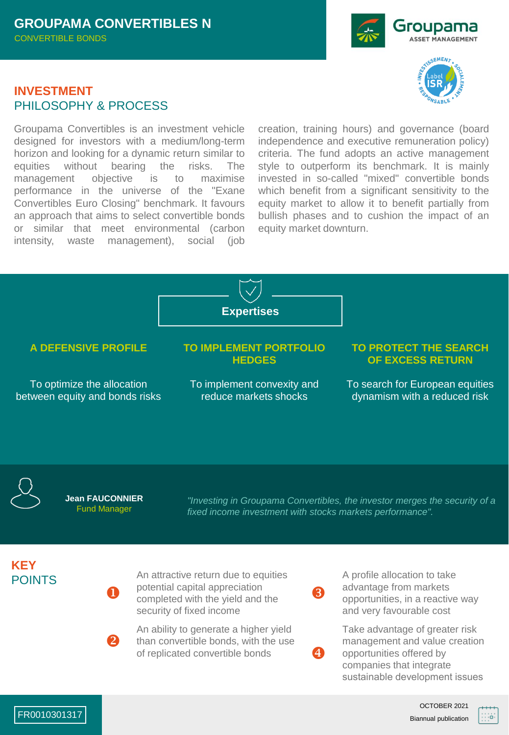# **INVESTMENT** PHILOSOPHY & PROCESS

Groupama Convertibles is an investment vehicle designed for investors with a medium/long-term horizon and looking for a dynamic return similar to equities without bearing the risks. The management objective is to maximise performance in the universe of the "Exane Convertibles Euro Closing" benchmark. It favours an approach that aims to select convertible bonds or similar that meet environmental (carbon intensity, waste management), social (job





creation, training hours) and governance (board independence and executive remuneration policy) criteria. The fund adopts an active management style to outperform its benchmark. It is mainly invested in so-called "mixed" convertible bonds which benefit from a significant sensitivity to the equity market to allow it to benefit partially from bullish phases and to cushion the impact of an equity market downturn.



To optimize the allocation between equity and bonds risks

### **A DEFENSIVE PROFILE TO IMPLEMENT PORTFOLIO HEDGES**

To implement convexity and reduce markets shocks

### **TO PROTECT THE SEARCH OF EXCESS RETURN**

To search for European equities dynamism with a reduced risk



**Jean FAUCONNIER** Fund Manager

u

2

*"Investing in Groupama Convertibles, the investor merges the security of a fixed income investment with stocks markets performance".*

8

4

# **KEY** POINTS

An attractive return due to equities potential capital appreciation completed with the yield and the security of fixed income

An ability to generate a higher yield than convertible bonds, with the use of replicated convertible bonds

A profile allocation to take advantage from markets opportunities, in a reactive way and very favourable cost

Take advantage of greater risk management and value creation opportunities offered by companies that integrate sustainable development issues